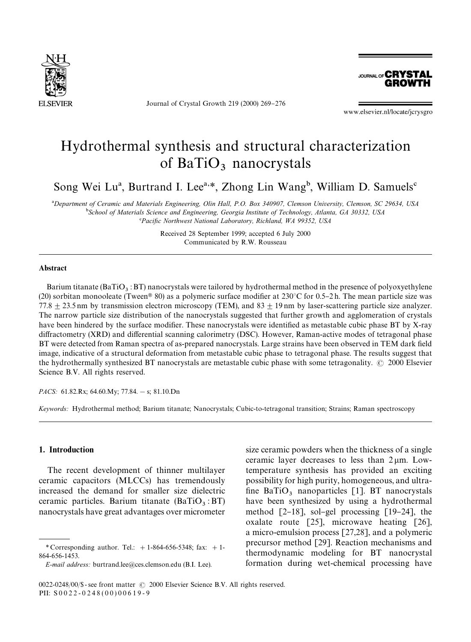

Journal of Crystal Growth 219 (2000) 269-276

**JOURNAL OF CRYSTAL GROWTH** 

www.elsevier.nl/locate/jcrysgro

# Hydrothermal synthesis and structural characterization of  $BaTiO<sub>3</sub>$  nanocrystals

Song Wei Lu<sup>a</sup>, Burtrand I. Lee<sup>a,\*</sup>, Zhong Lin Wang<sup>b</sup>, William D. Samuels<sup>c</sup>

!*Department of Ceramic and Materials Engineering, Olin Hall, P.O. Box 340907, Clemson University, Clemson, SC 29634, USA* "*School of Materials Science and Engineering, Georgia Institute of Technology, Atlanta, GA 30332, USA*

*<sup>\*</sup>Pacific Northwest National Laboratory, Richland, WA 99352, USA* 

Received 28 September 1999; accepted 6 July 2000 Communicated by R.W. Rousseau

#### Abstract

Barium titanate ( $BaTiO<sub>3</sub>$ : BT) nanocrystals were tailored by hydrothermal method in the presence of polyoxyethylene (20) sorbitan monooleate (Tween® 80) as a polymeric surface modifier at 230°C for 0.5–2 h. The mean particle size was 77.8  $\pm$  23.5 nm by transmission electron microscopy (TEM), and 83  $\pm$  19 nm by laser-scattering particle size analyzer. The narrow particle size distribution of the nanocrystals suggested that further growth and agglomeration of crystals have been hindered by the surface modifier. These nanocrystals were identified as metastable cubic phase BT by X-ray diffractometry (XRD) and differential scanning calorimetry (DSC). However, Raman-active modes of tetragonal phase BT were detected from Raman spectra of as-prepared nanocrystals. Large strains have been observed in TEM dark field image, indicative of a structural deformation from metastable cubic phase to tetragonal phase. The results suggest that the hydrothermally synthesized BT nanocrystals are metastable cubic phase with some tetragonality.  $\odot$  2000 Elsevier Science B.V. All rights reserved.

*PACS:* 61.82.Rx; 64.60.My; 77.84. - s; 81.10.Dn

*Keywords:* Hydrothermal method; Barium titanate; Nanocrystals; Cubic-to-tetragonal transition; Strains; Raman spectroscopy

### 1. Introduction

The recent development of thinner multilayer ceramic capacitors (MLCCs) has tremendously increased the demand for smaller size dielectric ceramic particles. Barium titanate  $(BaTiO<sub>3</sub>: BT)$ nanocrystals have great advantages over micrometer

size ceramic powders when the thickness of a single ceramic layer decreases to less than  $2 \mu m$ . Lowtemperature synthesis has provided an exciting possibility for high purity, homogeneous, and ultra fine  $BaTiO<sub>3</sub>$  nanoparticles [1]. BT nanocrystals have been synthesized by using a hydrothermal method  $[2-18]$ , sol-gel processing  $[19-24]$ , the oxalate route [25], microwave heating [26], a micro-emulsion process [27,28], and a polymeric precursor method [29]. Reaction mechanisms and thermodynamic modeling for BT nanocrystal formation during wet-chemical processing have

*<sup>\*</sup>* Corresponding author. Tel.: #1-864-656-5348; fax: #1- 864-656-1453.

*E-mail address:* burtrand.lee@ces.clemson.edu (B.I. Lee).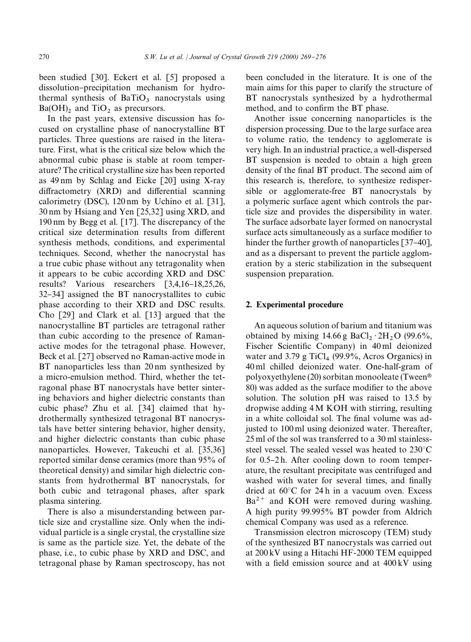been studied [30]. Eckert et al. [5] proposed a dissolution-precipitation mechanism for hydrothermal synthesis of  $BaTiO<sub>3</sub>$  nanocrystals using  $Ba(OH)$ <sub>2</sub> and TiO<sub>2</sub> as precursors.

In the past years, extensive discussion has focused on crystalline phase of nanocrystalline BT particles. Three questions are raised in the literature. First, what is the critical size below which the abnormal cubic phase is stable at room temperature? The critical crystalline size has been reported as 49 nm by Schlag and Eicke [20] using X-ray  $diffraction (XRD)$  and differential scanning calorimetry (DSC), 120 nm by Uchino et al. [31], 30 nm by Hsiang and Yen [25,32] using XRD, and 190 nm by Begg et al. [17]. The discrepancy of the critical size determination results from different synthesis methods, conditions, and experimental techniques. Second, whether the nanocrystal has a true cubic phase without any tetragonality when it appears to be cubic according XRD and DSC results? Various researchers  $\begin{bmatrix} 3,4,16-18,25,26, \end{bmatrix}$ 32–34] assigned the BT nanocrystallites to cubic phase according to their XRD and DSC results. Cho [29] and Clark et al. [13] argued that the nanocrystalline BT particles are tetragonal rather than cubic according to the presence of Ramanactive modes for the tetragonal phase. However, Beck et al. [27] observed no Raman-active mode in BT nanoparticles less than 20 nm synthesized by a micro-emulsion method. Third, whether the tetragonal phase BT nanocrystals have better sintering behaviors and higher dielectric constants than cubic phase? Zhu et al. [34] claimed that hydrothermally synthesized tetragonal BT nanocrystals have better sintering behavior, higher density, and higher dielectric constants than cubic phase nanoparticles. However, Takeuchi et al. [35,36] reported similar dense ceramics (more than 95% of theoretical density) and similar high dielectric constants from hydrothermal BT nanocrystals, for both cubic and tetragonal phases, after spark plasma sintering.

There is also a misunderstanding between particle size and crystalline size. Only when the individual particle is a single crystal, the crystalline size is same as the particle size. Yet, the debate of the phase, i.e., to cubic phase by XRD and DSC, and tetragonal phase by Raman spectroscopy, has not

been concluded in the literature. It is one of the main aims for this paper to clarify the structure of BT nanocrystals synthesized by a hydrothermal method, and to confirm the BT phase.

Another issue concerning nanoparticles is the dispersion processing. Due to the large surface area to volume ratio, the tendency to agglomerate is very high. In an industrial practice, a well-dispersed BT suspension is needed to obtain a high green density of the final BT product. The second aim of this research is, therefore, to synthesize redispersible or agglomerate-free BT nanocrystals by a polymeric surface agent which controls the particle size and provides the dispersibility in water. The surface adsorbate layer formed on nanocrystal surface acts simultaneously as a surface modifier to hinder the further growth of nanoparticles  $[37-40]$ , and as a dispersant to prevent the particle agglomeration by a steric stabilization in the subsequent suspension preparation.

## 2. Experimental procedure

An aqueous solution of barium and titanium was obtained by mixing  $14.66$  g BaCl<sub>2</sub>  $\cdot$  2H<sub>2</sub>O (99.6%, Fischer Scientific Company) in 40 ml deionized water and 3.79 g TiCl<sub>4</sub> (99.9%, Acros Organics) in 40 ml chilled deionized water. One-half-gram of polyoxyethylene (20) sorbitan monooleate (Tween® 80) was added as the surface modifier to the above solution. The solution pH was raised to 13.5 by dropwise adding 4M KOH with stirring, resulting in a white colloidal sol. The final volume was adjusted to 100 ml using deionized water. Thereafter, 25 ml of the sol was transferred to a 30 ml stainlesssteel vessel. The sealed vessel was heated to  $230^{\circ}$ C for  $0.5-2 h$ . After cooling down to room temperature, the resultant precipitate was centrifuged and washed with water for several times, and finally dried at  $60^{\circ}$ C for 24 h in a vacuum oven. Excess  $Ba^{2+}$  and KOH were removed during washing. A high purity 99.995% BT powder from Aldrich chemical Company was used as a reference.

Transmission electron microscopy (TEM) study of the synthesized BT nanocrystals was carried out at 200 kV using a Hitachi HF-2000 TEM equipped with a field emission source and at  $400 \text{ kV}$  using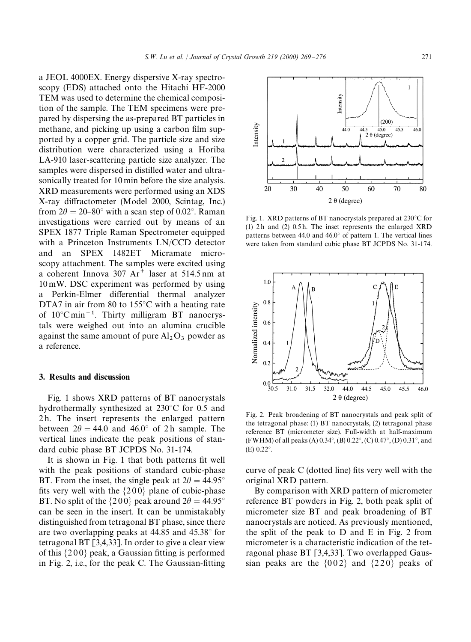a JEOL 4000EX. Energy dispersive X-ray spectroscopy (EDS) attached onto the Hitachi HF-2000 TEM was used to determine the chemical composition of the sample. The TEM specimens were prepared by dispersing the as-prepared BT particles in methane, and picking up using a carbon film supported by a copper grid. The particle size and size distribution were characterized using a Horiba LA-910 laser-scattering particle size analyzer. The samples were dispersed in distilled water and ultrasonically treated for 10 min before the size analysis. XRD measurements were performed using an XDS X-ray diffractometer (Model 2000, Scintag, Inc.) from  $2\theta = 20-80^{\circ}$  with a scan step of 0.02°. Raman investigations were carried out by means of an SPEX 1877 Triple Raman Spectrometer equipped with a Princeton Instruments LN/CCD detector and an SPEX 1482ET Micramate microscopy attachment. The samples were excited using a coherent Innova  $307 \text{ Ar}^+$  laser at 514.5 nm at 10 mW. DSC experiment was performed by using a Perkin-Elmer differential thermal analyzer DTA7 in air from 80 to  $155^{\circ}$ C with a heating rate of  $10^{\circ}$ C min<sup>-1</sup>. Thirty milligram BT nanocrystals were weighed out into an alumina crucible against the same amount of pure  $Al_2O_3$  powder as a reference.

## 3. Results and discussion

Fig. 1 shows XRD patterns of BT nanocrystals hydrothermally synthesized at  $230^{\circ}$ C for 0.5 and 2 h. The insert represents the enlarged pattern between  $2\theta = 44.0$  and  $46.0^{\circ}$  of 2 h sample. The vertical lines indicate the peak positions of standard cubic phase BT JCPDS No. 31-174.

It is shown in Fig. 1 that both patterns fit well with the peak positions of standard cubic-phase BT. From the inset, the single peak at  $2\theta = 44.95^{\circ}$ fits very well with the  $\{200\}$  plane of cubic-phase BT. No split of the  $\{200\}$  peak around  $2\theta = 44.95^\circ$ can be seen in the insert. It can be unmistakably distinguished from tetragonal BT phase, since there are two overlapping peaks at  $44.85$  and  $45.38^{\circ}$  for tetragonal BT [3,4,33]. In order to give a clear view of this  $\{200\}$  peak, a Gaussian fitting is performed in Fig. 2, i.e., for the peak C. The Gaussian-fitting



Fig. 1. XRD patterns of BT nanocrystals prepared at  $230^{\circ}$ C for  $(1)$  2h and  $(2)$  0.5h. The inset represents the enlarged XRD patterns between 44.0 and  $46.0^{\circ}$  of pattern 1. The vertical lines were taken from standard cubic phase BT JCPDS No. 31-174.



Fig. 2. Peak broadening of BT nanocrystals and peak split of the tetragonal phase: (1) BT nanocrystals, (2) tetragonal phase reference BT (micrometer size). Full-width at half-maximum (FWHM) of all peaks (A)  $0.34^{\circ}$ , (B)  $0.22^{\circ}$ , (C)  $0.47^{\circ}$ , (D)  $0.31^{\circ}$ , and  $(E) 0.22$ °.

curve of peak  $C$  (dotted line) fits very well with the original XRD pattern.

By comparison with XRD pattern of micrometer reference BT powders in Fig. 2, both peak split of micrometer size BT and peak broadening of BT nanocrystals are noticed. As previously mentioned, the split of the peak to D and E in Fig. 2 from micrometer is a characteristic indication of the tetragonal phase BT [3,4,33]. Two overlapped Gaussian peaks are the  $\{002\}$  and  $\{220\}$  peaks of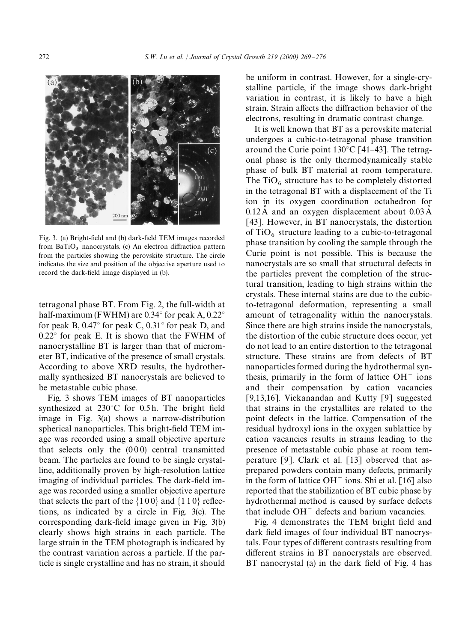

Fig. 3. (a) Bright-field and (b) dark-field TEM images recorded from  $BaTiO<sub>3</sub>$  nanocrystals. (c) An electron diffraction pattern from the particles showing the perovskite structure. The circle indicates the size and position of the objective aperture used to record the dark-field image displayed in (b).

tetragonal phase BT. From Fig. 2, the full-width at half-maximum (FWHM) are  $0.34^{\circ}$  for peak A,  $0.22^{\circ}$ for peak B,  $0.47^{\circ}$  for peak C,  $0.31^{\circ}$  for peak D, and  $0.22^{\circ}$  for peak E. It is shown that the FWHM of nanocrystalline BT is larger than that of micrometer BT, indicative of the presence of small crystals. According to above XRD results, the hydrothermally synthesized BT nanocrystals are believed to be metastable cubic phase.

Fig. 3 shows TEM images of BT nanoparticles synthesized at  $230^{\circ}$ C for 0.5 h. The bright field image in Fig. 3(a) shows a narrow-distribution spherical nanoparticles. This bright-field TEM image was recorded using a small objective aperture that selects only the  $(000)$  central transmitted beam. The particles are found to be single crystalline, additionally proven by high-resolution lattice imaging of individual particles. The dark-field image was recorded using a smaller objective aperture that selects the part of the  $\{100\}$  and  $\{110\}$  reflections, as indicated by a circle in Fig. 3(c). The corresponding dark-field image given in Fig. 3(b) clearly shows high strains in each particle. The large strain in the TEM photograph is indicated by the contrast variation across a particle. If the particle is single crystalline and has no strain, it should

be uniform in contrast. However, for a single-crystalline particle, if the image shows dark-bright variation in contrast, it is likely to have a high strain. Strain affects the diffraction behavior of the electrons, resulting in dramatic contrast change.

It is well known that BT as a perovskite material undergoes a cubic-to-tetragonal phase transition around the Curie point  $130^{\circ}$ C [41-43]. The tetragonal phase is the only thermodynamically stable phase of bulk BT material at room temperature. The  $TiO<sub>6</sub>$  structure has to be completely distorted in the tetragonal BT with a displacement of the Ti ion in its oxygen coordination octahedron for  $0.12 \text{ Å}$  and an oxygen displacement about  $0.03 \text{ Å}$ [43]. However, in BT nanocrystals, the distortion of  $TiO<sub>6</sub>$  structure leading to a cubic-to-tetragonal phase transition by cooling the sample through the Curie point is not possible. This is because the nanocrystals are so small that structural defects in the particles prevent the completion of the structural transition, leading to high strains within the crystals. These internal stains are due to the cubicto-tetragonal deformation, representing a small amount of tetragonality within the nanocrystals. Since there are high strains inside the nanocrystals, the distortion of the cubic structure does occur, yet do not lead to an entire distortion to the tetragonal structure. These strains are from defects of BT nanoparticles formed during the hydrothermal synthesis, primarily in the form of lattice  $OH^-$  ions and their compensation by cation vacancies [9,13,16]. Viekanandan and Kutty [9] suggested that strains in the crystallites are related to the point defects in the lattice. Compensation of the residual hydroxyl ions in the oxygen sublattice by cation vacancies results in strains leading to the presence of metastable cubic phase at room temperature [9]. Clark et al. [13] observed that asprepared powders contain many defects, primarily in the form of lattice  $OH^-$  ions. Shi et al. [16] also reported that the stabilization of BT cubic phase by hydrothermal method is caused by surface defects that include OH<sup>-</sup> defects and barium vacancies.

Fig. 4 demonstrates the TEM bright field and dark field images of four individual BT nanocrystals. Four types of different contrasts resulting from different strains in BT nanocrystals are observed. BT nanocrystal  $(a)$  in the dark field of Fig. 4 has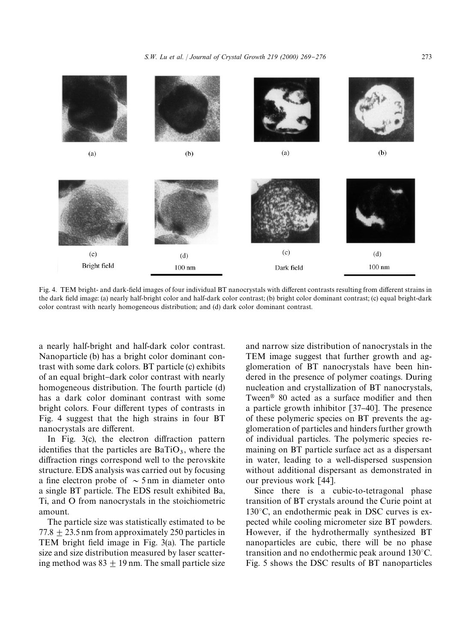

Fig. 4. TEM bright- and dark-field images of four individual BT nanocrystals with different contrasts resulting from different strains in the dark field image: (a) nearly half-bright color and half-dark color contrast; (b) bright color dominant contrast; (c) equal bright-dark color contrast with nearly homogeneous distribution; and (d) dark color dominant contrast.

a nearly half-bright and half-dark color contrast. Nanoparticle (b) has a bright color dominant contrast with some dark colors. BT particle (c) exhibits of an equal bright-dark color contrast with nearly homogeneous distribution. The fourth particle (d) has a dark color dominant contrast with some bright colors. Four different types of contrasts in Fig. 4 suggest that the high strains in four BT nanocrystals are different.

In Fig.  $3(c)$ , the electron diffraction pattern identifies that the particles are  $BaTiO<sub>3</sub>$ , where the diffraction rings correspond well to the perovskite structure. EDS analysis was carried out by focusing a fine electron probe of  $\sim$  5 nm in diameter onto a single BT particle. The EDS result exhibited Ba, Ti, and O from nanocrystals in the stoichiometric amount.

The particle size was statistically estimated to be  $77.8 + 23.5$  nm from approximately 250 particles in TEM bright field image in Fig.  $3(a)$ . The particle size and size distribution measured by laser scattering method was  $83 + 19$  nm. The small particle size

and narrow size distribution of nanocrystals in the TEM image suggest that further growth and agglomeration of BT nanocrystals have been hindered in the presence of polymer coatings. During nucleation and crystallization of BT nanocrystals, Tween $\mathcal{P}$  80 acted as a surface modifier and then a particle growth inhibitor  $[37-40]$ . The presence of these polymeric species on BT prevents the agglomeration of particles and hinders further growth of individual particles. The polymeric species remaining on BT particle surface act as a dispersant in water, leading to a well-dispersed suspension without additional dispersant as demonstrated in our previous work [44].

Since there is a cubic-to-tetragonal phase transition of BT crystals around the Curie point at  $130^{\circ}$ C, an endothermic peak in DSC curves is expected while cooling micrometer size BT powders. However, if the hydrothermally synthesized BT nanoparticles are cubic, there will be no phase transition and no endothermic peak around  $130^{\circ}$ C. Fig. 5 shows the DSC results of BT nanoparticles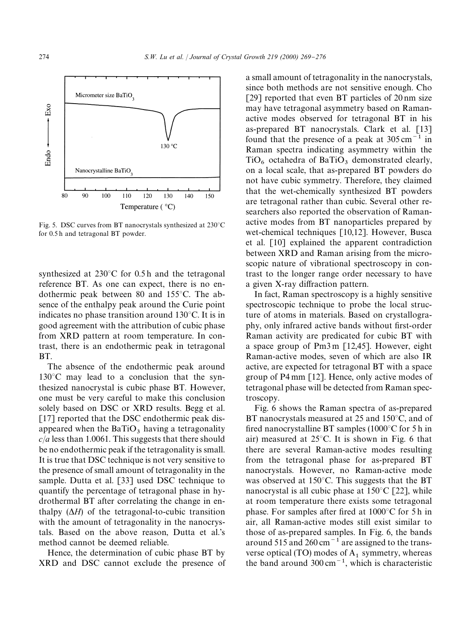

Fig. 5. DSC curves from BT nanocrystals synthesized at  $230^{\circ}$ C for 0.5 h and tetragonal BT powder.

synthesized at  $230^{\circ}$ C for 0.5 h and the tetragonal reference BT. As one can expect, there is no endothermic peak between 80 and  $155^{\circ}$ C. The absence of the enthalpy peak around the Curie point indicates no phase transition around  $130^{\circ}$ C. It is in good agreement with the attribution of cubic phase from XRD pattern at room temperature. In contrast, there is an endothermic peak in tetragonal BT.

The absence of the endothermic peak around  $130^{\circ}$ C may lead to a conclusion that the synthesized nanocrystal is cubic phase BT. However, one must be very careful to make this conclusion solely based on DSC or XRD results. Begg et al. [17] reported that the DSC endothermic peak disappeared when the  $BaTiO<sub>3</sub>$  having a tetragonality *c*/*a* less than 1.0061. This suggests that there should be no endothermic peak if the tetragonality is small. It is true that DSC technique is not very sensitive to the presence of small amount of tetragonality in the sample. Dutta et al. [33] used DSC technique to quantify the percentage of tetragonal phase in hydrothermal BT after correlating the change in enthalpy  $(\Delta H)$  of the tetragonal-to-cubic transition with the amount of tetragonality in the nanocrystals. Based on the above reason, Dutta et al.'s method cannot be deemed reliable.

Hence, the determination of cubic phase BT by XRD and DSC cannot exclude the presence of a small amount of tetragonality in the nanocrystals, since both methods are not sensitive enough. Cho [29] reported that even BT particles of 20 nm size may have tetragonal asymmetry based on Ramanactive modes observed for tetragonal BT in his as-prepared BT nanocrystals. Clark et al. [13] found that the presence of a peak at  $305 \text{ cm}^{-1}$  in Raman spectra indicating asymmetry within the  $TiO<sub>6</sub>$  octahedra of BaTiO<sub>3</sub> demonstrated clearly, on a local scale, that as-prepared BT powders do not have cubic symmetry. Therefore, they claimed that the wet-chemically synthesized BT powders are tetragonal rather than cubic. Several other researchers also reported the observation of Ramanactive modes from BT nanoparticles prepared by wet-chemical techniques [10,12]. However, Busca et al. [10] explained the apparent contradiction between XRD and Raman arising from the microscopic nature of vibrational spectroscopy in contrast to the longer range order necessary to have a given X-ray diffraction pattern.

In fact, Raman spectroscopy is a highly sensitive spectroscopic technique to probe the local structure of atoms in materials. Based on crystallography, only infrared active bands without first-order Raman activity are predicated for cubic BT with a space group of Pm3 m [12,45]. However, eight Raman-active modes, seven of which are also IR active, are expected for tetragonal BT with a space group of P4 mm [12]. Hence, only active modes of tetragonal phase will be detected from Raman spectroscopy.

Fig. 6 shows the Raman spectra of as-prepared BT nanocrystals measured at 25 and  $150^{\circ}$ C, and of fired nanocrystalline BT samples ( $1000^{\circ}$ C for 5 h in air) measured at  $25^{\circ}$ C. It is shown in Fig. 6 that there are several Raman-active modes resulting from the tetragonal phase for as-prepared BT nanocrystals. However, no Raman-active mode was observed at  $150^{\circ}$ C. This suggests that the BT nanocrystal is all cubic phase at  $150^{\circ}$ C [22], while at room temperature there exists some tetragonal phase. For samples after fired at  $1000^{\circ}$ C for 5 h in air, all Raman-active modes still exist similar to those of as-prepared samples. In Fig. 6, the bands around 515 and 260 cm<sup> $-1$ </sup> are assigned to the transverse optical (TO) modes of  $A_1$  symmetry, whereas the band around  $300 \text{ cm}^{-1}$ , which is characteristic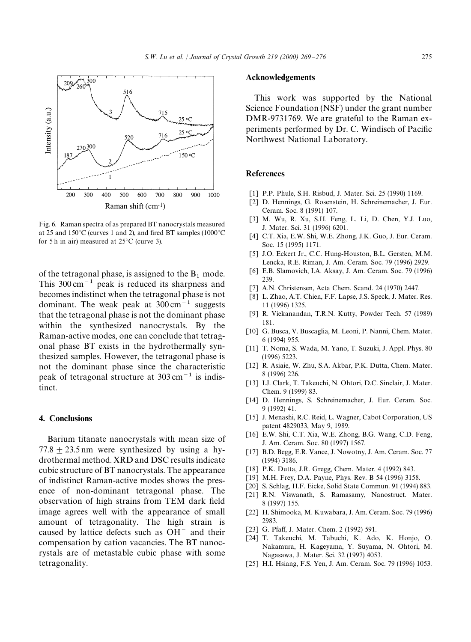

Fig. 6. Raman spectra of as prepared BT nanocrystals measured at 25 and  $150^{\circ}$ C (curves 1 and 2), and fired BT samples (1000 $^{\circ}$ C) for 5 h in air) measured at  $25^{\circ}$ C (curve 3).

of the tetragonal phase, is assigned to the  $B_1$  mode. This  $300 \text{ cm}^{-1}$  peak is reduced its sharpness and becomes indistinct when the tetragonal phase is not dominant. The weak peak at  $300 \text{ cm}^{-1}$  suggests that the tetragonal phase is not the dominant phase within the synthesized nanocrystals. By the Raman-active modes, one can conclude that tetragonal phase BT exists in the hydrothermally synthesized samples. However, the tetragonal phase is not the dominant phase since the characteristic peak of tetragonal structure at  $303 \text{ cm}^{-1}$  is indistinct.

#### 4. Conclusions

Barium titanate nanocrystals with mean size of  $77.8 + 23.5$  nm were synthesized by using a hydrothermal method. XRD and DSC results indicate cubic structure of BT nanocrystals. The appearance of indistinct Raman-active modes shows the presence of non-dominant tetragonal phase. The observation of high strains from TEM dark field image agrees well with the appearance of small amount of tetragonality. The high strain is caused by lattice defects such as  $OH^-$  and their compensation by cation vacancies. The BT nanocrystals are of metastable cubic phase with some tetragonality.

#### Acknowledgements

This work was supported by the National Science Foundation (NSF) under the grant number DMR-9731769. We are grateful to the Raman experiments performed by Dr. C. Windisch of Pacific Northwest National Laboratory.

## **References**

- [1] P.P. Phule, S.H. Risbud, J. Mater. Sci. 25 (1990) 1169.
- [2] D. Hennings, G. Rosenstein, H. Schreinemacher, J. Eur. Ceram. Soc. 8 (1991) 107.
- [3] M. Wu, R. Xu, S.H. Feng, L. Li, D. Chen, Y.J. Luo, J. Mater. Sci. 31 (1996) 6201.
- [4] C.T. Xia, E.W. Shi, W.E. Zhong, J.K. Guo, J. Eur. Ceram. Soc. 15 (1995) 1171.
- [5] J.O. Eckert Jr., C.C. Hung-Houston, B.L. Gersten, M.M. Lencka, R.E. Riman, J. Am. Ceram. Soc. 79 (1996) 2929.
- [6] E.B. Slamovich, I.A. Aksay, J. Am. Ceram. Soc. 79 (1996) 239.
- [7] A.N. Christensen, Acta Chem. Scand. 24 (1970) 2447.
- [8] L. Zhao, A.T. Chien, F.F. Lapse, J.S. Speck, J. Mater. Res. 11 (1996) 1325.
- [9] R. Viekanandan, T.R.N. Kutty, Powder Tech. 57 (1989) 181.
- [10] G. Busca, V. Buscaglia, M. Leoni, P. Nanni, Chem. Mater. 6 (1994) 955.
- [11] T. Noma, S. Wada, M. Yano, T. Suzuki, J. Appl. Phys. 80 (1996) 5223.
- [12] R. Asiaie, W. Zhu, S.A. Akbar, P.K. Dutta, Chem. Mater. 8 (1996) 226.
- [13] I.J. Clark, T. Takeuchi, N. Ohtori, D.C. Sinclair, J. Mater. Chem. 9 (1999) 83.
- [14] D. Hennings, S. Schreinemacher, J. Eur. Ceram. Soc. 9 (1992) 41.
- [15] J. Menashi, R.C. Reid, L. Wagner, Cabot Corporation, US patent 4829033, May 9, 1989.
- [16] E.W. Shi, C.T. Xia, W.E. Zhong, B.G. Wang, C.D. Feng, J. Am. Ceram. Soc. 80 (1997) 1567.
- [17] B.D. Begg, E.R. Vance, J. Nowotny, J. Am. Ceram. Soc. 77 (1994) 3186.
- [18] P.K. Dutta, J.R. Gregg, Chem. Mater. 4 (1992) 843.
- [19] M.H. Frey, D.A. Payne, Phys. Rev. B 54 (1996) 3158.
- [20] S. Schlag, H.F. Eicke, Solid State Commun. 91 (1994) 883.
- [21] R.N. Viswanath, S. Ramasamy, Nanostruct. Mater. 8 (1997) 155.
- [22] H. Shimooka, M. Kuwabara, J. Am. Ceram. Soc. 79 (1996) 2983.
- [23] G. Pfaff, J. Mater. Chem. 2 (1992) 591.
- [24] T. Takeuchi, M. Tabuchi, K. Ado, K. Honjo, O. Nakamura, H. Kageyama, Y. Suyama, N. Ohtori, M. Nagasawa, J. Mater. Sci. 32 (1997) 4053.
- [25] H.I. Hsiang, F.S. Yen, J. Am. Ceram. Soc. 79 (1996) 1053.